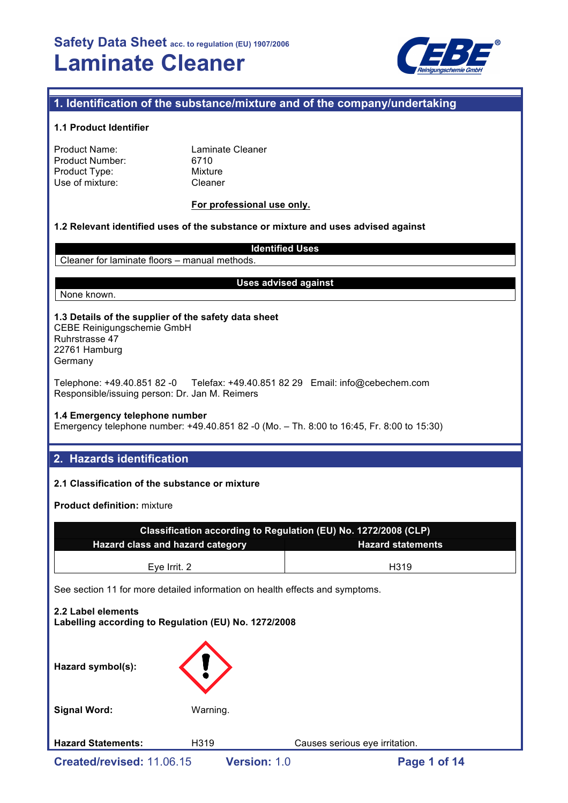

# **1. Identification of the substance/mixture and of the company/undertaking**

## **1.1 Product Identifier**

| Product Name:          |  |
|------------------------|--|
| <b>Product Number:</b> |  |
| Product Type:          |  |
| Use of mixture:        |  |

Laminate Cleaner 6710 **Mixture** Cleaner

## **For professional use only.**

### **1.2 Relevant identified uses of the substance or mixture and uses advised against**

**Identified Uses** Cleaner for laminate floors – manual methods.

### **Uses advised against**

# None known.

**1.3 Details of the supplier of the safety data sheet** CEBE Reinigungschemie GmbH

Ruhrstrasse 47 22761 Hamburg Germany

Telephone: +49.40.851 82 -0 Telefax: +49.40.851 82 29 Email: info@cebechem.com Responsible/issuing person: Dr. Jan M. Reimers

### **1.4 Emergency telephone number**

Emergency telephone number: +49.40.851 82 -0 (Mo. – Th. 8:00 to 16:45, Fr. 8:00 to 15:30)

# **2. Hazards identification**

## **2.1 Classification of the substance or mixture**

**Product definition:** mixture

| Classification according to Regulation (EU) No. 1272/2008 (CLP)              |                   |  |  |  |  |
|------------------------------------------------------------------------------|-------------------|--|--|--|--|
| Hazard class and hazard category<br><b>Hazard statements</b>                 |                   |  |  |  |  |
| Eye Irrit. 2                                                                 | H <sub>3</sub> 19 |  |  |  |  |
| See section 11 for more detailed information on health effects and symptoms. |                   |  |  |  |  |
| 2.2 Label elements<br>Labelling according to Regulation (EU) No. 1272/2008   |                   |  |  |  |  |
|                                                                              |                   |  |  |  |  |

| Hazard symbol(s):         |              |                                |              |  |
|---------------------------|--------------|--------------------------------|--------------|--|
| <b>Signal Word:</b>       | Warning.     |                                |              |  |
| <b>Hazard Statements:</b> | H319         | Causes serious eye irritation. |              |  |
| Created/revised: 11.06.15 | Version: 1.0 |                                | Page 1 of 14 |  |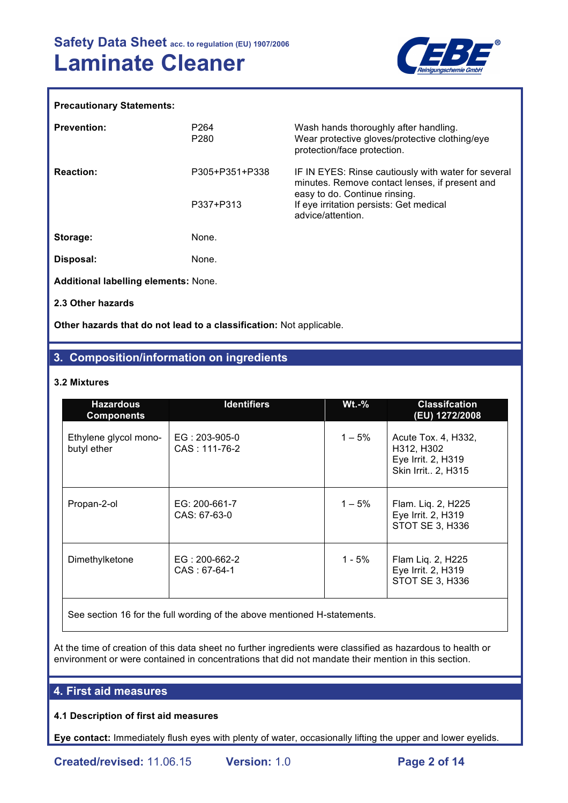

### **Precautionary Statements:**

| <b>Prevention:</b>                          | P <sub>264</sub><br>P <sub>280</sub> | Wash hands thoroughly after handling.<br>Wear protective gloves/protective clothing/eye<br>protection/face protection.                 |  |  |  |
|---------------------------------------------|--------------------------------------|----------------------------------------------------------------------------------------------------------------------------------------|--|--|--|
| <b>Reaction:</b>                            | P305+P351+P338                       | IF IN EYES: Rinse cautiously with water for several<br>minutes. Remove contact lenses, if present and<br>easy to do. Continue rinsing. |  |  |  |
|                                             | P337+P313                            | If eye irritation persists: Get medical<br>advice/attention.                                                                           |  |  |  |
| Storage:                                    | None.                                |                                                                                                                                        |  |  |  |
| Disposal:                                   | None.                                |                                                                                                                                        |  |  |  |
| <b>Additional labelling elements: None.</b> |                                      |                                                                                                                                        |  |  |  |
| 2.3 Other hazards                           |                                      |                                                                                                                                        |  |  |  |

**Other hazards that do not lead to a classification:** Not applicable.

# **3. Composition/information on ingredients**

## **3.2 Mixtures**

| <b>Hazardous</b><br><b>Components</b> | <b>Identifiers</b>                 | $Wt.-%$  | <b>Classifcation</b><br>(EU) 1272/2008                                        |
|---------------------------------------|------------------------------------|----------|-------------------------------------------------------------------------------|
| Ethylene glycol mono-<br>butyl ether  | $EG: 203-905-0$<br>CAS: 111-76-2   | $1 - 5%$ | Acute Tox. 4, H332,<br>H312, H302<br>Eye Irrit. 2, H319<br>Skin Irrit 2, H315 |
| Propan-2-ol                           | EG: 200-661-7<br>CAS: 67-63-0      | $1 - 5%$ | Flam. Liq. 2, H225<br>Eye Irrit. 2, H319<br>STOT SE 3, H336                   |
| Dimethylketone                        | $EG: 200-662-2$<br>$CAS : 67-64-1$ | 1 - 5%   | Flam Liq. 2, H225<br>Eye Irrit. 2, H319<br>STOT SE 3, H336                    |

See section 16 for the full wording of the above mentioned H-statements.

At the time of creation of this data sheet no further ingredients were classified as hazardous to health or environment or were contained in concentrations that did not mandate their mention in this section.

## **4. First aid measures**

## **4.1 Description of first aid measures**

**Eye contact:** Immediately flush eyes with plenty of water, occasionally lifting the upper and lower eyelids.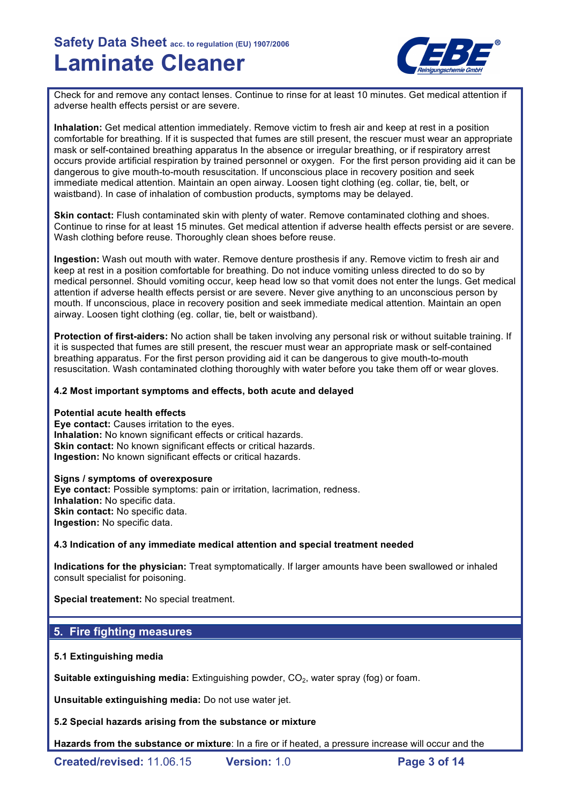

Check for and remove any contact lenses. Continue to rinse for at least 10 minutes. Get medical attention if adverse health effects persist or are severe.

**Inhalation:** Get medical attention immediately. Remove victim to fresh air and keep at rest in a position comfortable for breathing. If it is suspected that fumes are still present, the rescuer must wear an appropriate mask or self-contained breathing apparatus In the absence or irregular breathing, or if respiratory arrest occurs provide artificial respiration by trained personnel or oxygen. For the first person providing aid it can be dangerous to give mouth-to-mouth resuscitation. If unconscious place in recovery position and seek immediate medical attention. Maintain an open airway. Loosen tight clothing (eg. collar, tie, belt, or waistband). In case of inhalation of combustion products, symptoms may be delayed.

**Skin contact:** Flush contaminated skin with plenty of water. Remove contaminated clothing and shoes. Continue to rinse for at least 15 minutes. Get medical attention if adverse health effects persist or are severe. Wash clothing before reuse. Thoroughly clean shoes before reuse.

**Ingestion:** Wash out mouth with water. Remove denture prosthesis if any. Remove victim to fresh air and keep at rest in a position comfortable for breathing. Do not induce vomiting unless directed to do so by medical personnel. Should vomiting occur, keep head low so that vomit does not enter the lungs. Get medical attention if adverse health effects persist or are severe. Never give anything to an unconscious person by mouth. If unconscious, place in recovery position and seek immediate medical attention. Maintain an open airway. Loosen tight clothing (eg. collar, tie, belt or waistband).

**Protection of first-aiders:** No action shall be taken involving any personal risk or without suitable training. If it is suspected that fumes are still present, the rescuer must wear an appropriate mask or self-contained breathing apparatus. For the first person providing aid it can be dangerous to give mouth-to-mouth resuscitation. Wash contaminated clothing thoroughly with water before you take them off or wear gloves.

## **4.2 Most important symptoms and effects, both acute and delayed**

### **Potential acute health effects**

**Eye contact:** Causes irritation to the eyes. **Inhalation:** No known significant effects or critical hazards. **Skin contact:** No known significant effects or critical hazards. **Ingestion:** No known significant effects or critical hazards.

### **Signs / symptoms of overexposure**

**Eye contact:** Possible symptoms: pain or irritation, lacrimation, redness. **Inhalation:** No specific data. **Skin contact:** No specific data. **Ingestion:** No specific data.

## **4.3 Indication of any immediate medical attention and special treatment needed**

**Indications for the physician:** Treat symptomatically. If larger amounts have been swallowed or inhaled consult specialist for poisoning.

**Special treatement:** No special treatment.

## **5. Fire fighting measures**

## **5.1 Extinguishing media**

**Suitable extinguishing media:** Extinguishing powder, CO<sub>2</sub>, water spray (fog) or foam.

**Unsuitable extinguishing media:** Do not use water jet.

**5.2 Special hazards arising from the substance or mixture**

**Hazards from the substance or mixture**: In a fire or if heated, a pressure increase will occur and the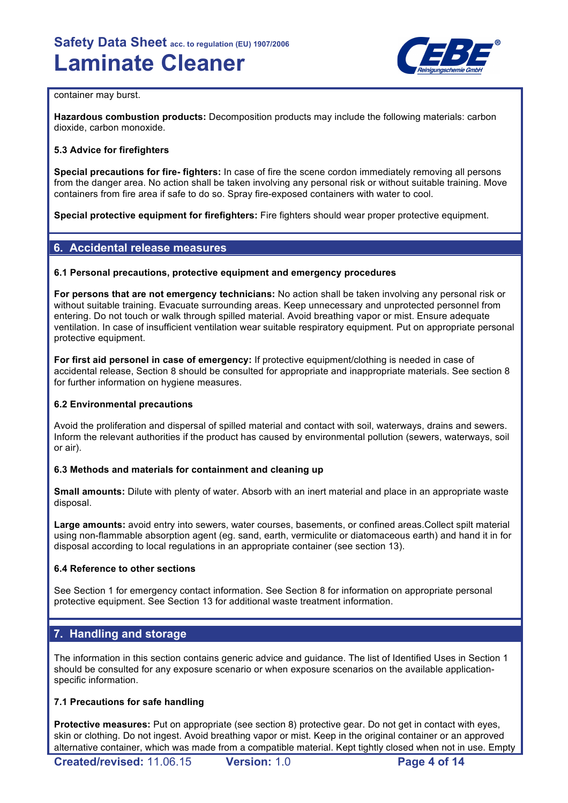

### container may burst.

**Hazardous combustion products:** Decomposition products may include the following materials: carbon dioxide, carbon monoxide.

## **5.3 Advice for firefighters**

**Special precautions for fire- fighters:** In case of fire the scene cordon immediately removing all persons from the danger area. No action shall be taken involving any personal risk or without suitable training. Move containers from fire area if safe to do so. Spray fire-exposed containers with water to cool.

**Special protective equipment for firefighters:** Fire fighters should wear proper protective equipment.

# **6. Accidental release measures**

## **6.1 Personal precautions, protective equipment and emergency procedures**

**For persons that are not emergency technicians:** No action shall be taken involving any personal risk or without suitable training. Evacuate surrounding areas. Keep unnecessary and unprotected personnel from entering. Do not touch or walk through spilled material. Avoid breathing vapor or mist. Ensure adequate ventilation. In case of insufficient ventilation wear suitable respiratory equipment. Put on appropriate personal protective equipment.

**For first aid personel in case of emergency:** If protective equipment/clothing is needed in case of accidental release, Section 8 should be consulted for appropriate and inappropriate materials. See section 8 for further information on hygiene measures.

## **6.2 Environmental precautions**

Avoid the proliferation and dispersal of spilled material and contact with soil, waterways, drains and sewers. Inform the relevant authorities if the product has caused by environmental pollution (sewers, waterways, soil or air).

## **6.3 Methods and materials for containment and cleaning up**

**Small amounts:** Dilute with plenty of water. Absorb with an inert material and place in an appropriate waste disposal.

**Large amounts:** avoid entry into sewers, water courses, basements, or confined areas.Collect spilt material using non-flammable absorption agent (eg. sand, earth, vermiculite or diatomaceous earth) and hand it in for disposal according to local regulations in an appropriate container (see section 13).

## **6.4 Reference to other sections**

See Section 1 for emergency contact information. See Section 8 for information on appropriate personal protective equipment. See Section 13 for additional waste treatment information.

# **7. Handling and storage**

The information in this section contains generic advice and guidance. The list of Identified Uses in Section 1 should be consulted for any exposure scenario or when exposure scenarios on the available applicationspecific information.

## **7.1 Precautions for safe handling**

**Protective measures:** Put on appropriate (see section 8) protective gear. Do not get in contact with eyes, skin or clothing. Do not ingest. Avoid breathing vapor or mist. Keep in the original container or an approved alternative container, which was made from a compatible material. Kept tightly closed when not in use. Empty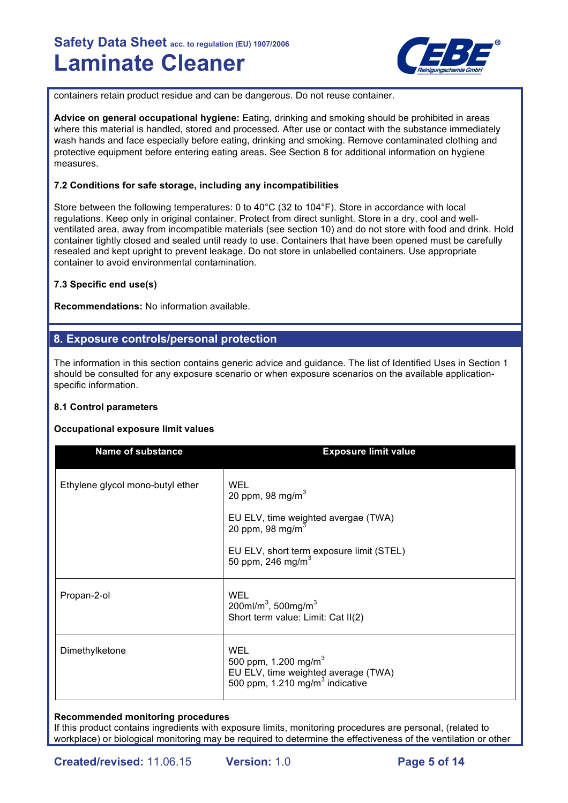

containers retain product residue and can be dangerous. Do not reuse container.

**Advice on general occupational hygiene:** Eating, drinking and smoking should be prohibited in areas where this material is handled, stored and processed. After use or contact with the substance immediately wash hands and face especially before eating, drinking and smoking. Remove contaminated clothing and protective equipment before entering eating areas. See Section 8 for additional information on hygiene measures.

## **7.2 Conditions for safe storage, including any incompatibilities**

Store between the following temperatures: 0 to 40°C (32 to 104°F). Store in accordance with local regulations. Keep only in original container. Protect from direct sunlight. Store in a dry, cool and wellventilated area, away from incompatible materials (see section 10) and do not store with food and drink. Hold container tightly closed and sealed until ready to use. Containers that have been opened must be carefully resealed and kept upright to prevent leakage. Do not store in unlabelled containers. Use appropriate container to avoid environmental contamination.

## **7.3 Specific end use(s)**

**Recommendations:** No information available.

# **8. Exposure controls/personal protection**

The information in this section contains generic advice and guidance. The list of Identified Uses in Section 1 should be consulted for any exposure scenario or when exposure scenarios on the available applicationspecific information.

## **8.1 Control parameters**

## **Occupational exposure limit values**

| <b>Name of substance</b>         | <b>Exposure limit value</b>                                                                                                                                           |
|----------------------------------|-----------------------------------------------------------------------------------------------------------------------------------------------------------------------|
| Ethylene glycol mono-butyl ether | WEL<br>20 ppm, 98 mg/m $3$<br>EU ELV, time weighted avergae (TWA)<br>20 ppm, 98 mg/m $3$<br>EU ELV, short term exposure limit (STEL)<br>50 ppm, 246 mg/m <sup>3</sup> |
| Propan-2-ol                      | <b>WEL</b><br>200ml/m <sup>3</sup> , 500mg/m <sup>3</sup><br>Short term value: Limit: Cat II(2)                                                                       |
| Dimethylketone                   | WEL<br>500 ppm, 1.200 mg/m <sup>3</sup><br>EU ELV, time weighted average (TWA)<br>500 ppm, 1.210 mg/m <sup>3</sup> indicative                                         |

## **Recommended monitoring procedures**

If this product contains ingredients with exposure limits, monitoring procedures are personal, (related to workplace) or biological monitoring may be required to determine the effectiveness of the ventilation or other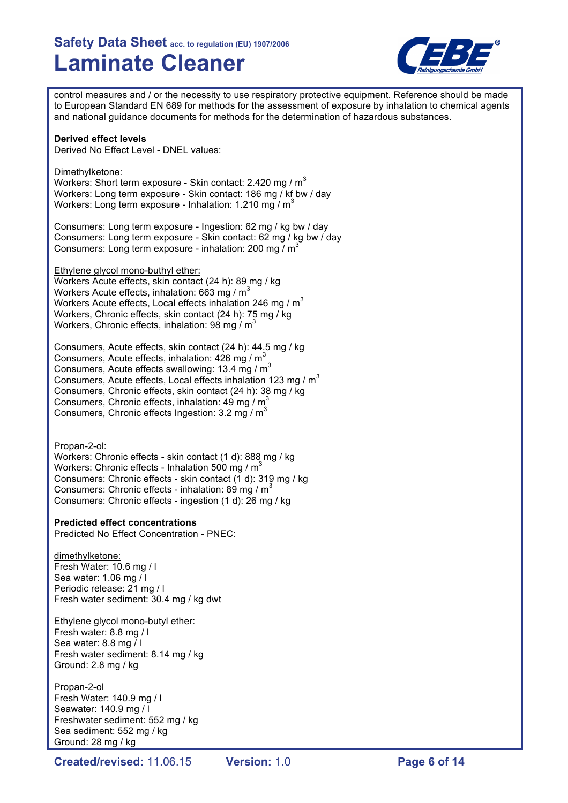

control measures and / or the necessity to use respiratory protective equipment. Reference should be made to European Standard EN 689 for methods for the assessment of exposure by inhalation to chemical agents and national guidance documents for methods for the determination of hazardous substances.

### **Derived effect levels**

Derived No Effect Level - DNEL values:

Dimethylketone: Workers: Short term exposure - Skin contact: 2.420 mg / m<sup>3</sup> Workers: Long term exposure - Skin contact: 186 mg / kf bw / day Workers: Long term exposure - Inhalation: 1.210 mg / m<sup>3</sup>

Consumers: Long term exposure - Ingestion: 62 mg / kg bw / day Consumers: Long term exposure - Skin contact: 62 mg / kg bw / day Consumers: Long term exposure - inhalation: 200 mg /  $m^3$ 

Ethylene glycol mono-buthyl ether:

Workers Acute effects, skin contact (24 h): 89 mg / kg Workers Acute effects, inhalation: 663 mg /  $m<sup>3</sup>$ Workers Acute effects, Local effects inhalation 246 mg /  $m<sup>3</sup>$ Workers, Chronic effects, skin contact (24 h): 75 mg / kg Workers, Chronic effects, inhalation: 98 mg / m<sup>3</sup>

Consumers, Acute effects, skin contact (24 h): 44.5 mg / kg Consumers, Acute effects, inhalation:  $426 \text{ mg} / \text{m}^3$ Consumers, Acute effects swallowing: 13.4 mg / m<sup>3</sup> Consumers, Acute effects, Local effects inhalation 123 mg /  $m<sup>3</sup>$ Consumers, Chronic effects, skin contact (24 h): 38 mg / kg Consumers, Chronic effects, inhalation: 49 mg  $/m<sup>3</sup>$ Consumers, Chronic effects Ingestion:  $3.2 \text{ ma} / \text{m}^3$ 

Propan-2-ol:

Workers: Chronic effects - skin contact (1 d): 888 mg / kg Workers: Chronic effects - Inhalation 500 mg /  $m<sup>3</sup>$ Consumers: Chronic effects - skin contact (1 d): 319 mg / kg Consumers: Chronic effects - inhalation: 89 mg /  $m<sup>3</sup>$ Consumers: Chronic effects - ingestion (1 d): 26 mg / kg

### **Predicted effect concentrations**

Predicted No Effect Concentration - PNEC:

dimethylketone: Fresh Water: 10.6 mg / l Sea water: 1.06 mg / l Periodic release: 21 mg / l Fresh water sediment: 30.4 mg / kg dwt

## Ethylene glycol mono-butyl ether:

Fresh water: 8.8 mg / l Sea water: 8.8 mg / l Fresh water sediment: 8.14 mg / kg Ground: 2.8 mg / kg

### Propan-2-ol

Fresh Water: 140.9 mg / l Seawater: 140.9 mg / l Freshwater sediment: 552 mg / kg Sea sediment: 552 mg / kg Ground: 28 mg / kg

**Created/revised:** 11.06.15 **Version:** 1.0 **Page 6 of 14**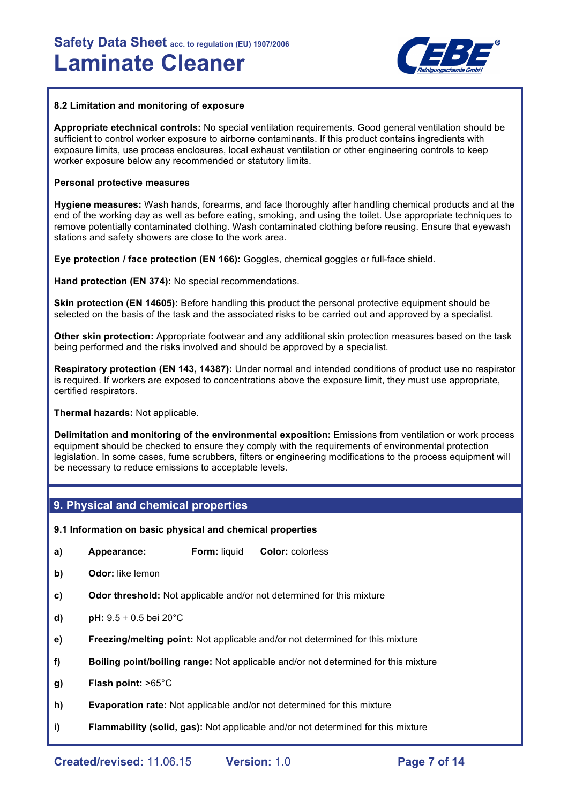

### **8.2 Limitation and monitoring of exposure**

**Appropriate etechnical controls:** No special ventilation requirements. Good general ventilation should be sufficient to control worker exposure to airborne contaminants. If this product contains ingredients with exposure limits, use process enclosures, local exhaust ventilation or other engineering controls to keep worker exposure below any recommended or statutory limits.

### **Personal protective measures**

**Hygiene measures:** Wash hands, forearms, and face thoroughly after handling chemical products and at the end of the working day as well as before eating, smoking, and using the toilet. Use appropriate techniques to remove potentially contaminated clothing. Wash contaminated clothing before reusing. Ensure that eyewash stations and safety showers are close to the work area.

**Eye protection / face protection (EN 166):** Goggles, chemical goggles or full-face shield.

**Hand protection (EN 374):** No special recommendations.

**Skin protection (EN 14605):** Before handling this product the personal protective equipment should be selected on the basis of the task and the associated risks to be carried out and approved by a specialist.

**Other skin protection:** Appropriate footwear and any additional skin protection measures based on the task being performed and the risks involved and should be approved by a specialist.

**Respiratory protection (EN 143, 14387):** Under normal and intended conditions of product use no respirator is required. If workers are exposed to concentrations above the exposure limit, they must use appropriate, certified respirators.

**Thermal hazards:** Not applicable.

**Delimitation and monitoring of the environmental exposition:** Emissions from ventilation or work process equipment should be checked to ensure they comply with the requirements of environmental protection legislation. In some cases, fume scrubbers, filters or engineering modifications to the process equipment will be necessary to reduce emissions to acceptable levels.

## **9. Physical and chemical properties**

## **9.1 Information on basic physical and chemical properties**

- **a) Appearance: Form:** liquid **Color:** colorless
- **b) Odor:** like lemon
- **c) Odor threshold:** Not applicable and/or not determined for this mixture
- **d) pH:**  $9.5 \pm 0.5$  bei 20 $^{\circ}$ C
- **e) Freezing/melting point:** Not applicable and/or not determined for this mixture
- **f) Boiling point/boiling range:** Not applicable and/or not determined for this mixture
- **g) Flash point:** >65°C
- **h) Evaporation rate:** Not applicable and/or not determined for this mixture
- **i) Flammability (solid, gas):** Not applicable and/or not determined for this mixture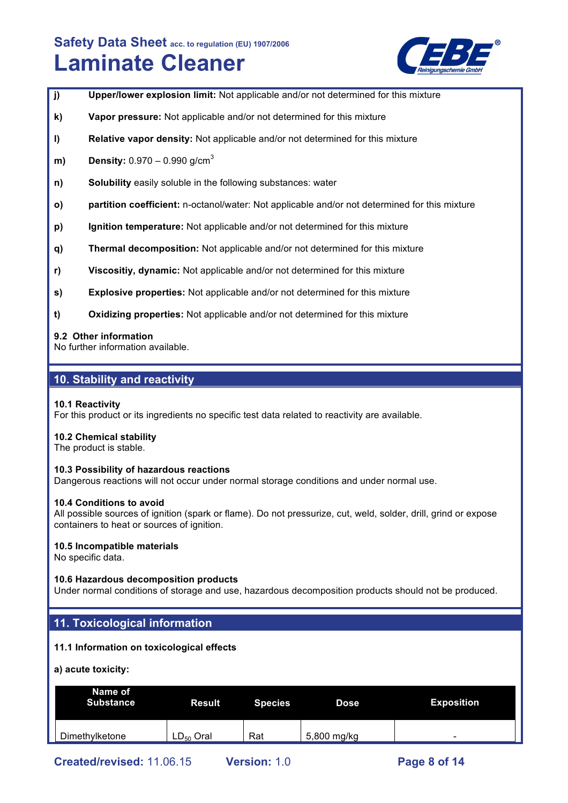

- **j) Upper/lower explosion limit:** Not applicable and/or not determined for this mixture
- **k) Vapor pressure:** Not applicable and/or not determined for this mixture
- **l) Relative vapor density:** Not applicable and/or not determined for this mixture
- **m) Density:** 0.970 0.990 g/cm<sup>3</sup>
- **n) Solubility** easily soluble in the following substances: water
- **o) partition coefficient:** n-octanol/water: Not applicable and/or not determined for this mixture
- **p) Ignition temperature:** Not applicable and/or not determined for this mixture
- **q) Thermal decomposition:** Not applicable and/or not determined for this mixture
- **r) Viscositiy, dynamic:** Not applicable and/or not determined for this mixture
- **s) Explosive properties:** Not applicable and/or not determined for this mixture
- **t) Oxidizing properties:** Not applicable and/or not determined for this mixture

### **9.2 Other information**

No further information available.

# **10. Stability and reactivity**

### **10.1 Reactivity**

For this product or its ingredients no specific test data related to reactivity are available.

### **10.2 Chemical stability**

The product is stable.

### **10.3 Possibility of hazardous reactions**

Dangerous reactions will not occur under normal storage conditions and under normal use.

### **10.4 Conditions to avoid**

All possible sources of ignition (spark or flame). Do not pressurize, cut, weld, solder, drill, grind or expose containers to heat or sources of ignition.

### **10.5 Incompatible materials**

No specific data.

### **10.6 Hazardous decomposition products**

Under normal conditions of storage and use, hazardous decomposition products should not be produced.

## **11. Toxicological information**

### **11.1 Information on toxicological effects**

**a) acute toxicity:**

| Name of<br><b>Substance</b> | <b>Result</b>  | <b>Species</b> | <b>Dose</b> | <b>Exposition</b>        |
|-----------------------------|----------------|----------------|-------------|--------------------------|
| Dimethylketone              | $LD_{50}$ Oral | Rat            | 5,800 mg/kg | $\overline{\phantom{0}}$ |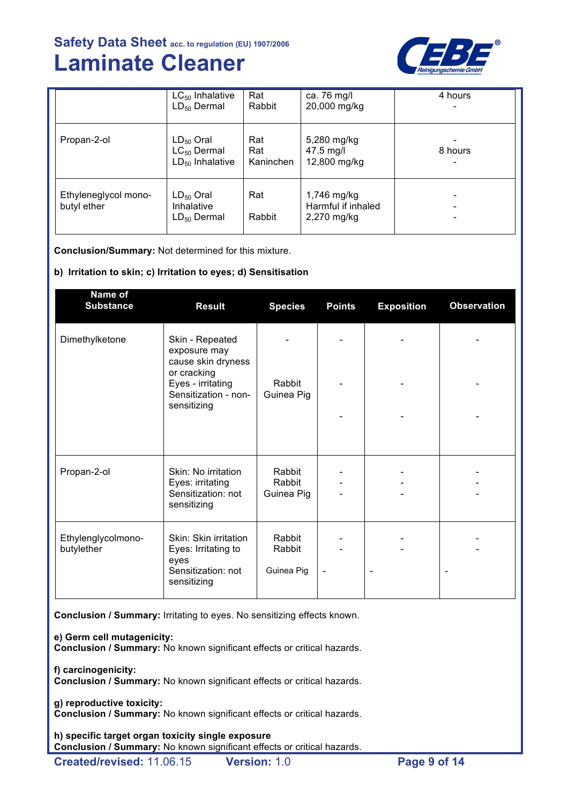

|                                     | $LC_{50}$ Inhalative<br>$LD_{50}$ Dermal                   | Rat<br>Rabbit           | ca. 76 mg/l<br>20,000 mg/kg                      | 4 hours |
|-------------------------------------|------------------------------------------------------------|-------------------------|--------------------------------------------------|---------|
| Propan-2-ol                         | $LD_{50}$ Oral<br>$LC_{50}$ Dermal<br>$LD_{50}$ Inhalative | Rat<br>Rat<br>Kaninchen | 5,280 mg/kg<br>47.5 mg/l<br>12,800 mg/kg         | 8 hours |
| Ethyleneglycol mono-<br>butyl ether | $LD_{50}$ Oral<br>Inhalative<br>$LD_{50}$ Dermal           | Rat<br>Rabbit           | 1,746 mg/kg<br>Harmful if inhaled<br>2,270 mg/kg | -       |

**Conclusion/Summary:** Not determined for this mixture.

## **b) Irritation to skin; c) Irritation to eyes; d) Sensitisation**

| Name of<br><b>Substance</b>      | <b>Result</b>                                                                             | <b>Species</b>                 | <b>Points</b> | <b>Exposition</b> | <b>Observation</b> |
|----------------------------------|-------------------------------------------------------------------------------------------|--------------------------------|---------------|-------------------|--------------------|
| Dimethylketone                   | Skin - Repeated<br>exposure may<br>cause skin dryness                                     |                                |               |                   |                    |
|                                  | or cracking<br>Eyes - irritating<br>Sensitization - non-<br>sensitizing                   | Rabbit<br>Guinea Pig           |               |                   |                    |
|                                  |                                                                                           |                                |               |                   |                    |
| Propan-2-ol                      | Skin: No irritation<br>Eyes: irritating<br>Sensitization: not<br>sensitizing              | Rabbit<br>Rabbit<br>Guinea Pig |               |                   |                    |
| Ethylenglycolmono-<br>butylether | Skin: Skin irritation<br>Eyes: Irritating to<br>eyes<br>Sensitization: not<br>sensitizing | Rabbit<br>Rabbit<br>Guinea Pig |               |                   |                    |

**Conclusion / Summary:** Irritating to eyes. No sensitizing effects known.

**e) Germ cell mutagenicity:**

**Conclusion / Summary:** No known significant effects or critical hazards.

**f) carcinogenicity:**

**Conclusion / Summary:** No known significant effects or critical hazards.

**g) reproductive toxicity:**

**Conclusion / Summary:** No known significant effects or critical hazards.

**h) specific target organ toxicity single exposure Conclusion / Summary:** No known significant effects or critical hazards.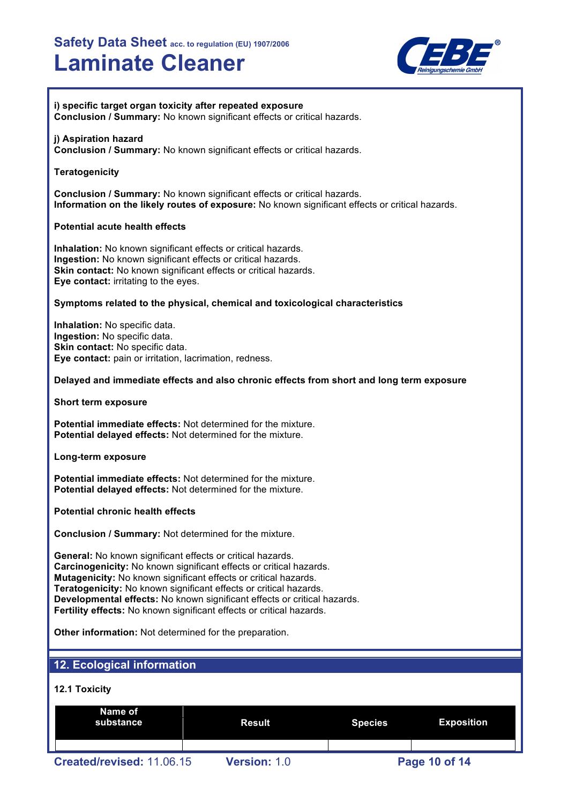

**i) specific target organ toxicity after repeated exposure Conclusion / Summary:** No known significant effects or critical hazards.

### **j) Aspiration hazard**

**Conclusion / Summary:** No known significant effects or critical hazards.

## **Teratogenicity**

**Conclusion / Summary:** No known significant effects or critical hazards. **Information on the likely routes of exposure:** No known significant effects or critical hazards.

## **Potential acute health effects**

**Inhalation:** No known significant effects or critical hazards. **Ingestion:** No known significant effects or critical hazards. **Skin contact:** No known significant effects or critical hazards. **Eye contact:** irritating to the eyes.

### **Symptoms related to the physical, chemical and toxicological characteristics**

**Inhalation:** No specific data. **Ingestion:** No specific data. **Skin contact:** No specific data. **Eye contact:** pain or irritation, lacrimation, redness.

### **Delayed and immediate effects and also chronic effects from short and long term exposure**

**Short term exposure**

**Potential immediate effects:** Not determined for the mixture. **Potential delayed effects:** Not determined for the mixture.

**Long-term exposure**

**Potential immediate effects:** Not determined for the mixture. **Potential delayed effects:** Not determined for the mixture.

**Potential chronic health effects**

**Conclusion / Summary:** Not determined for the mixture.

**General:** No known significant effects or critical hazards. **Carcinogenicity:** No known significant effects or critical hazards. **Mutagenicity:** No known significant effects or critical hazards. **Teratogenicity:** No known significant effects or critical hazards. **Developmental effects:** No known significant effects or critical hazards. **Fertility effects:** No known significant effects or critical hazards.

**Other information:** Not determined for the preparation.

## **12. Ecological information**

## **12.1 Toxicity**

| Name of<br>substance      | Result              | <b>Species</b> | <b>Exposition</b> |
|---------------------------|---------------------|----------------|-------------------|
|                           |                     |                |                   |
| Created/revised: 11.06.15 | <b>Version: 1.0</b> |                | Page 10 of 14     |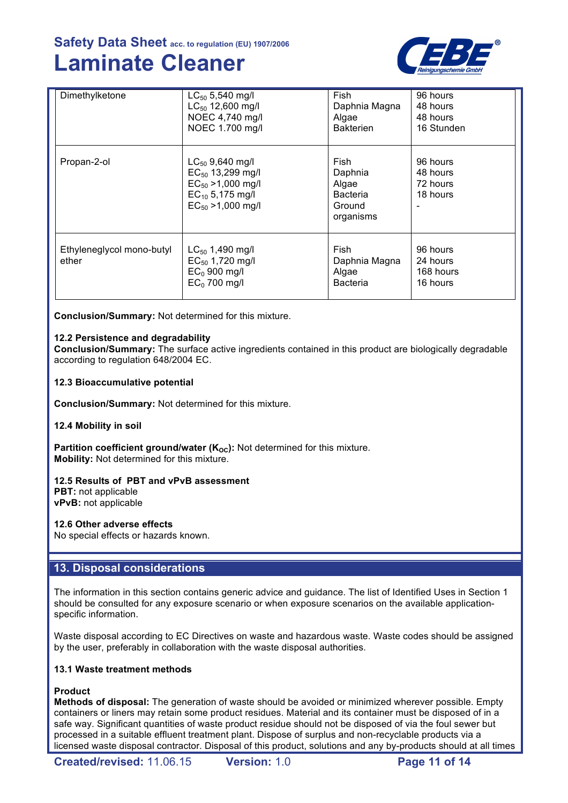

| Dimethylketone                     | $LC_{50}$ 5,540 mg/l<br>LC <sub>50</sub> 12,600 mg/l<br>NOEC 4,740 mg/l<br>NOEC 1.700 mg/l                               | <b>Fish</b><br>Daphnia Magna<br>Algae<br><b>Bakterien</b>          | 96 hours<br>48 hours<br>48 hours<br>16 Stunden |
|------------------------------------|--------------------------------------------------------------------------------------------------------------------------|--------------------------------------------------------------------|------------------------------------------------|
| Propan-2-ol                        | $LC_{50}$ 9,640 mg/l<br>$EC_{50}$ 13,299 mg/l<br>$EC_{50}$ >1,000 mg/l<br>$EC_{10}$ 5,175 mg/l<br>$EC_{50} > 1,000$ mg/l | Fish<br>Daphnia<br>Algae<br><b>Bacteria</b><br>Ground<br>organisms | 96 hours<br>48 hours<br>72 hours<br>18 hours   |
| Ethyleneglycol mono-butyl<br>ether | $LC_{50}$ 1,490 mg/l<br>$EC_{50}$ 1,720 mg/l<br>$EC0$ 900 mg/l<br>$EC0$ 700 mg/l                                         | Fish<br>Daphnia Magna<br>Algae<br><b>Bacteria</b>                  | 96 hours<br>24 hours<br>168 hours<br>16 hours  |

**Conclusion/Summary:** Not determined for this mixture.

## **12.2 Persistence and degradability**

**Conclusion/Summary:** The surface active ingredients contained in this product are biologically degradable according to regulation 648/2004 EC.

**12.3 Bioaccumulative potential**

**Conclusion/Summary:** Not determined for this mixture.

### **12.4 Mobility in soil**

**Partition coefficient ground/water (K<sub>OC</sub>):** Not determined for this mixture. **Mobility:** Not determined for this mixture.

## **12.5 Results of PBT and vPvB assessment**

**PBT:** not applicable **vPvB:** not applicable

### **12.6 Other adverse effects**

No special effects or hazards known.

## **13. Disposal considerations**

The information in this section contains generic advice and guidance. The list of Identified Uses in Section 1 should be consulted for any exposure scenario or when exposure scenarios on the available applicationspecific information.

Waste disposal according to EC Directives on waste and hazardous waste. Waste codes should be assigned by the user, preferably in collaboration with the waste disposal authorities.

### **13.1 Waste treatment methods**

### **Product**

**Methods of disposal:** The generation of waste should be avoided or minimized wherever possible. Empty containers or liners may retain some product residues. Material and its container must be disposed of in a safe way. Significant quantities of waste product residue should not be disposed of via the foul sewer but processed in a suitable effluent treatment plant. Dispose of surplus and non-recyclable products via a licensed waste disposal contractor. Disposal of this product, solutions and any by-products should at all times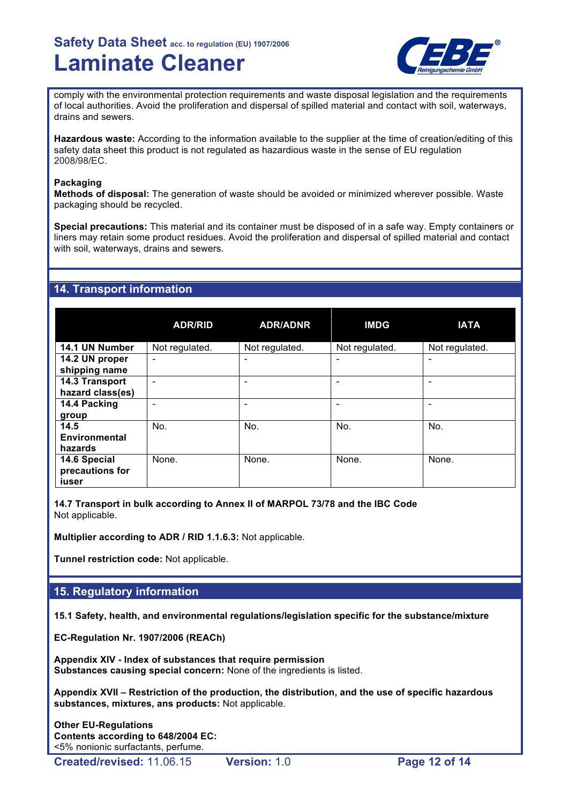

comply with the environmental protection requirements and waste disposal legislation and the requirements of local authorities. Avoid the proliferation and dispersal of spilled material and contact with soil, waterways, drains and sewers.

**Hazardous waste:** According to the information available to the supplier at the time of creation/editing of this safety data sheet this product is not regulated as hazardious waste in the sense of EU regulation 2008/98/EC.

## **Packaging**

**Methods of disposal:** The generation of waste should be avoided or minimized wherever possible. Waste packaging should be recycled.

**Special precautions:** This material and its container must be disposed of in a safe way. Empty containers or liners may retain some product residues. Avoid the proliferation and dispersal of spilled material and contact with soil, waterways, drains and sewers.

# **14. Transport information**

|                                          | <b>ADR/RID</b> | <b>ADR/ADNR</b> | <b>IMDG</b>              | <b>IATA</b>    |
|------------------------------------------|----------------|-----------------|--------------------------|----------------|
| 14.1 UN Number                           | Not regulated. | Not regulated.  | Not regulated.           | Not regulated. |
| 14.2 UN proper<br>shipping name          | ۰              |                 | $\overline{\phantom{0}}$ |                |
| 14.3 Transport<br>hazard class(es)       |                |                 |                          |                |
| 14.4 Packing<br>group                    |                | ۰               |                          |                |
| 14.5<br><b>Environmental</b><br>hazards  | No.            | No.             | No.                      | No.            |
| 14.6 Special<br>precautions for<br>iuser | None.          | None.           | None.                    | None.          |

**14.7 Transport in bulk according to Annex II of MARPOL 73/78 and the IBC Code** Not applicable.

**Multiplier according to ADR / RID 1.1.6.3:** Not applicable.

**Tunnel restriction code:** Not applicable.

# **15. Regulatory information**

**15.1 Safety, health, and environmental regulations/legislation specific for the substance/mixture**

**EC-Regulation Nr. 1907/2006 (REACh)**

**Appendix XIV - Index of substances that require permission Substances causing special concern:** None of the ingredients is listed.

**Appendix XVII – Restriction of the production, the distribution, and the use of specific hazardous substances, mixtures, ans products:** Not applicable.

**Other EU-Regulations Contents according to 648/2004 EC:** <5% nonionic surfactants, perfume.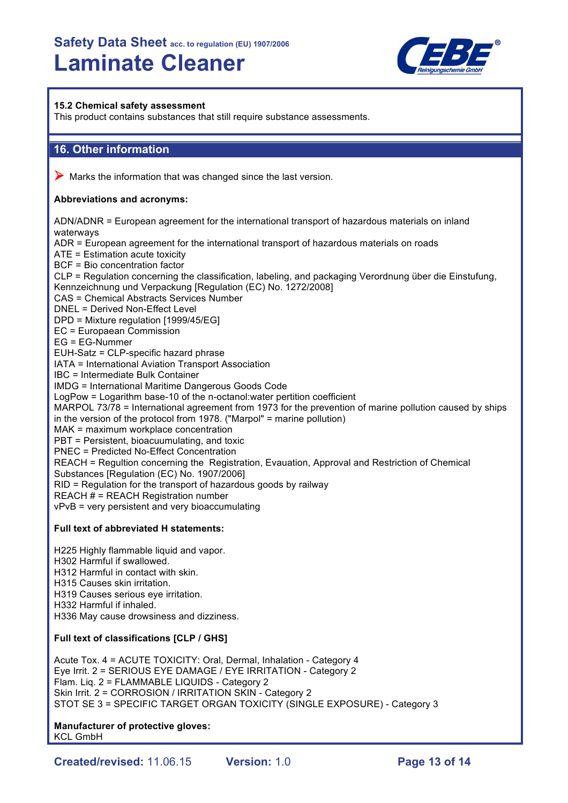

## **15.2 Chemical safety assessment**

This product contains substances that still require substance assessments.

# **16. Other information**

 $\triangleright$  Marks the information that was changed since the last version.

## **Abbreviations and acronyms:**

ADN/ADNR = European agreement for the international transport of hazardous materials on inland waterways ADR = European agreement for the international transport of hazardous materials on roads ATE = Estimation acute toxicity BCF = Bio concentration factor CLP = Regulation concerning the classification, labeling, and packaging Verordnung über die Einstufung, Kennzeichnung und Verpackung [Regulation (EC) No. 1272/2008] CAS = Chemical Abstracts Services Number DNEL = Derived Non-Effect Level DPD = Mixture regulation [1999/45/EG] EC = Europaean Commission EG = EG-Nummer EUH-Satz = CLP-specific hazard phrase IATA = International Aviation Transport Association IBC = Intermediate Bulk Container IMDG = International Maritime Dangerous Goods Code LogPow = Logarithm base-10 of the n-octanol:water pertition coefficient MARPOL 73/78 = International agreement from 1973 for the prevention of marine pollution caused by ships in the version of the protocol from 1978. ("Marpol" = marine pollution) MAK = maximum workplace concentration PBT = Persistent, bioacuumulating, and toxic PNEC = Predicted No-Effect Concentration REACH = Regultion concerning the Registration, Evauation, Approval and Restriction of Chemical Substances [Regulation (EC) No. 1907/2006] RID = Regulation for the transport of hazardous goods by railway REACH  $#$  = REACH Registration number vPvB = very persistent and very bioaccumulating

## **Full text of abbreviated H statements:**

H225 Highly flammable liquid and vapor. H302 Harmful if swallowed. H312 Harmful in contact with skin. H315 Causes skin irritation. H319 Causes serious eye irritation. H332 Harmful if inhaled. H336 May cause drowsiness and dizziness.

## **Full text of classifications [CLP / GHS]**

Acute Tox. 4 = ACUTE TOXICITY: Oral, Dermal, Inhalation - Category 4 Eye Irrit. 2 = SERIOUS EYE DAMAGE / EYE IRRITATION - Category 2 Flam. Liq. 2 = FLAMMABLE LIQUIDS - Category 2 Skin Irrit. 2 = CORROSION / IRRITATION SKIN - Category 2 STOT SE 3 = SPECIFIC TARGET ORGAN TOXICITY (SINGLE EXPOSURE) - Category 3

#### **Manufacturer of protective gloves:** KCL GmbH